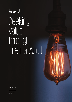

# Seeking value through Internal Audit

February 2016

[kpmg.com](http://www.kpmg.com)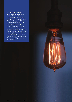# *The future of Internal Audit through the lens of stakeholder needs:*

*KPMG and Forbes recently surveyed more than 400 Chief Financial Officers and Audit Committee chairs on a host of issues regarding the performance, focus, value, and future of Internal Audit functions at their organizations. The findings call attention to a 'value gap' between what Audit Committee Chairs and CFOs identify as priorities and what they are receiving from their IA functions.*

© 2016 KPMG International Cooperative ("KPMG International"). KPMG International provides no client services and is a Swiss entity with which the independent member firms of the KPMG network are affiliated.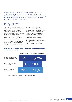What makes an Internal Audit function worth a company's while? It's that matter of value. An effective Internal Audit function can not only magnify what the company already knows, but present new findings, offer new perspectives, and provide new ways of gleaning such insights.

# Making value real

The subject of value is one that is widely mentioned throughout business topics and arenas, but is often discussed in abstract. "Added value" seems to be the common denominator of desired outcomes in many surveys of this kind, but rarely results in measurable impact. The challenge, therefore, is to make value real.

To determine how that may be done, particularly as a function of Internal Audit (IA), it's worthwhile to examine what IA functions are providing companies versus what a company would find valuable. The biggest gaps in the findings were related to risk and sustainable profit generation. A surprisingly low percentage of those polled currently receive — as a component of their IA function informed perspectives on risk, but when asked what insights they would most like to start receiving, these insights into risk ranked highest.

# **What insights do companies receive from their IA today; what insights would be of most value?**



Source: Seeking value through Internal Audit, KPMG International, 2016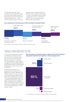It is also quite clear that while companies want measurable impact from their Internal Audit functions particularly around risk and potential revenue enhancement — this is not their primary concern. The most

important factor is effectiveness and efficiency. This means that, while there is a call for measurable impact through a greater focus on risk, it should not come at the cost of reducing audit effectiveness and efficiency.

# **How important are the following to CFOs and Audit Committee Chairs?**



Source: Seeking value through Internal Audit, KPMG International, 2016

# Taking a new approach to risk

If risk is a prominent area of concern and effective and efficient audits are of the most importance, surely then the answer to making value real lies somewhere in informing the risk assessment, supporting risk management and providing insights in a way that optimizes the effectiveness and efficiency of how IA as a whole is delivered.

In general, ground-level risk assessment as a function of IA is agreed to be, at best, adequate. The job gets done. But, when it comes to more comprehensive detection and response to emerging risks, only one in ten respondents believe that this is addressed satisfactorily. Again, this leaves an opportunity for additional value. Internal Audit needs to be more proactive in identifying and mitigating risk, not just assessing the controls already in place.

**How strongly do companies agree or disagree that their IA function adequately identifies and responds to their emerging risks?**



Source: Seeking value through Internal Audit, KPMG International, 2016

© 2016 KPMG International Cooperative ("KPMG International"). KPMG International provides no client services and is a Swiss entity with which the independent member firms of the KPMG network are affiliated.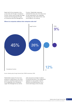Nearly half of the companies in the survey track risk through a compliance function, half as many through their legal function and only 9 percent through an Enterprise-wide Risk Management

Function. Stakeholder responses indicated that they care more about how IA was responding to risk, especially emerging risk, than what function was accountable for risk tracking.

### **Where do companies address their enterprise-wide risk?**



Source: Seeking value through Internal Audit, KPMG International, 2016

Stakeholders expect IA to be more proactive in responding to risk which presents a significant opportunity for IA to collaborate with Compliance, Legal, Risk Management as well as

other assurance providers to deliver Combined Assurance. This collaboration highlights an even greater need for efficiency and effectiveness; this is where technology comes into play.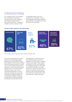# Embracing technology

It's no longer useful to utter phrases like "technology is the future". If companies are not fully integrating technological advancements in every area of business, no degree of strategic prowess is going to make

a measurable impact. How IA is conducted is no exception. In fact, a fully integrated, automated IA platform would transform and progress the way that audits are conducted.



### **The Top 5 skills needed for IA professionals**

Source: Seeking value through Internal Audit, KPMG International, 2016

As for the existing desire for a move toward such a technology-enabled approach when asked about the key skills needed in IA, the survey reflected that technology (62 percent) is second only to communication (67 percent) in importance, while critical thinking and judgment came in third (52 percent). It stands to reason, then, that a solid technology platform with the propensity for advanced, enterprisewide data and analytics (D&A), and a progressive feedback mechanism would make for a distinctly efficient and effective internal audit function.

The potential for making value real through technology is enormous, especially if IA were able to integrate a higher percentage of data analytic procedures into their audit approach. An integrated approach to using data and analytics throughout the audit process (for example, analytics driven continuous auditing, dynamic audit planning, audit scoping and planning, audit execution and reporting) would provide greater insights and value.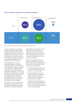

## **How do companies deploy data and analytics technology?**

Source: Seeking value through Internal Audit, KPMG International, 2016

Currently, 63 percent of companies use data and analytics technology in isolated or specific instances only, or it exists within discrete functions. It is predicted that this statistic will drop to 50 percent in the next three years, while the use of enterprise-wide riskfocused D&A capabilities will jump from 35 percent to 47 percent.

KPMG believes that if IA were to operate through an integrated technology platform, the incorporation of risk assessment, D&A, knowledge and experience would advance the potential for IA to deliver significant added value, particularly in monitoring emerging risk, assessing risk coverage and facilitating data-driven decisions to provide actionable insights into the strategic drivers of the business that would optimize both business performance and risk mitigation.

This platform would provide dynamic, near-real time reporting that unlocks the intellectual capital of a business, exposes the root cause of problems

and enables internal auditors to help deliver not only added value, but measurable value. This would go a long way toward enhancing the status of IA in businesses, going so far as to create a model that may, in time, become the standard.

The survey responses do not only identify a 'value gap,' they point to specific actions that would elevate the value of the IA function and create a new standard of delivery by:

- Providing actionable insights into the risks that matter and increase the focus on emerging risks.
- Embracing technology and the benefits of D&A to increase audit quality, improve the quality of audit evidence and facilitate the discovery of new insights.
- Leveraging an audit management platform that automates significant portions of IA service delivery and allows consistent and full execution of your IA methodology.